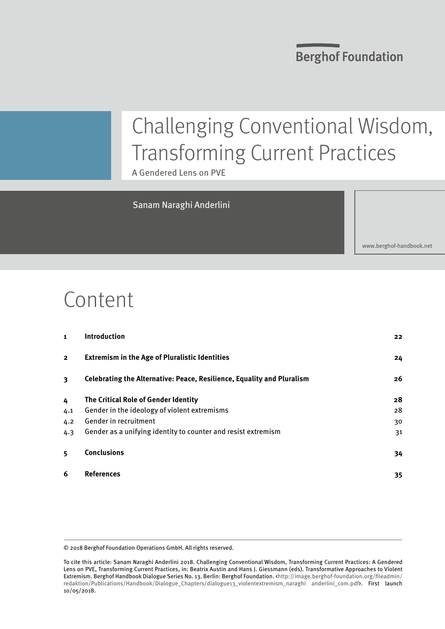**Berghof Foundation** 

# Challenging Conventional Wisdom, Transforming Current Practices

A Gendered Lens on PVE

#### Sanam Naraghi Anderlini

<www.berghof-handbook.net>

## Content

| $\mathbf{1}$            | <b>Introduction</b>                                                    | 22 |
|-------------------------|------------------------------------------------------------------------|----|
| $\overline{\mathbf{2}}$ | <b>Extremism in the Age of Pluralistic Identities</b>                  | 24 |
| 3                       | Celebrating the Alternative: Peace, Resilience, Equality and Pluralism | 26 |
| 4                       | The Critical Role of Gender Identity                                   | 28 |
| 4.1                     | Gender in the ideology of violent extremisms                           | 28 |
| 4.2                     | Gender in recruitment                                                  | 30 |
| 4.3                     | Gender as a unifying identity to counter and resist extremism          | 31 |
| 5                       | <b>Conclusions</b>                                                     | 34 |
| 6                       | <b>References</b>                                                      | 35 |

<sup>© 2018</sup> Berghof Foundation Operations GmbH. All rights reserved.

To cite this article: Sanam Naraghi Anderlini 2018. Challenging Conventional Wisdom, Transforming Current Practices: A Gendered Lens on PVE, Transforming Current Practices, in: Beatrix Austin and Hans J. Giessmann (eds). Transformative Approaches to Violent Extremism. Berghof Handbook Dialogue Series No. 13. Berlin: Berghof Foundation. <http://image.berghof-foundation.org/fileadmin/ redaktion/Publications/Handbook/Dialogue\_Chapters/dialogue13\_violentextremism\_naraghi anderlini\_com.pdf>. First launch 10/05/2018.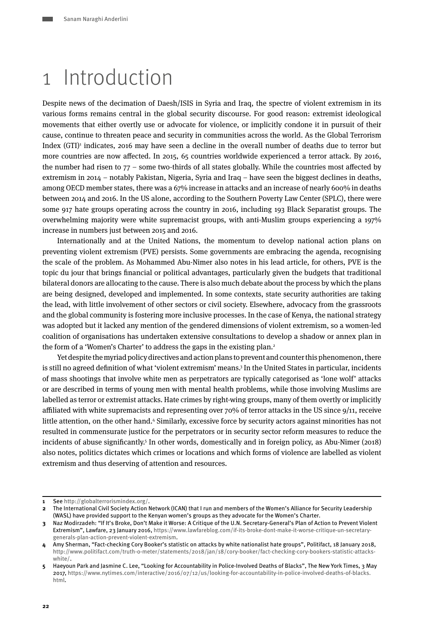### <span id="page-1-0"></span>1 Introduction

Despite news of the decimation of Daesh/ISIS in Syria and Iraq, the spectre of violent extremism in its various forms remains central in the global security discourse. For good reason: extremist ideological movements that either overtly use or advocate for violence, or implicitly condone it in pursuit of their cause, continue to threaten peace and security in communities across the world. As the Global Terrorism Index (GTI)<sup>1</sup> indicates, 2016 may have seen a decline in the overall number of deaths due to terror but more countries are now affected. In 2015, 65 countries worldwide experienced a terror attack. By 2016, the number had risen to 77 – some two-thirds of all states globally. While the countries most affected by extremism in 2014 – notably Pakistan, Nigeria, Syria and Iraq – have seen the biggest declines in deaths, among OECD member states, there was a 67% increase in attacks and an increase of nearly 600% in deaths between 2014 and 2016. In the US alone, according to the Southern Poverty Law Center (SPLC), there were some 917 hate groups operating across the country in 2016, including 193 Black Separatist groups. The overwhelming majority were white supremacist groups, with anti-Muslim groups experiencing a 197% increase in numbers just between 2015 and 2016.

Internationally and at the United Nations, the momentum to develop national action plans on preventing violent extremism (PVE) persists. Some governments are embracing the agenda, recognising the scale of the problem. As Mohammed Abu-Nimer also notes in his lead article, for others, PVE is the topic du jour that brings financial or political advantages, particularly given the budgets that traditional bilateral donors are allocating to the cause. There is also much debate about the process by which the plans are being designed, developed and implemented. In some contexts, state security authorities are taking the lead, with little involvement of other sectors or civil society. Elsewhere, advocacy from the grassroots and the global community is fostering more inclusive processes. In the case of Kenya, the national strategy was adopted but it lacked any mention of the gendered dimensions of violent extremism, so a women-led coalition of organisations has undertaken extensive consultations to develop a shadow or annex plan in the form of a 'Women's Charter' to address the gaps in the existing plan.<sup>2</sup>

Yet despite the myriad policy directives and action plans to prevent and counter this phenomenon, there is still no agreed definition of what 'violent extremism' means.3 In the United States in particular, incidents of mass shootings that involve white men as perpetrators are typically categorised as 'lone wolf' attacks or are described in terms of young men with mental health problems, while those involving Muslims are labelled as terror or extremist attacks. Hate crimes by right-wing groups, many of them overtly or implicitly affiliated with white supremacists and representing over 70% of terror attacks in the US since 9/11, receive little attention, on the other hand.4 Similarly, excessive force by security actors against minorities has not resulted in commensurate justice for the perpetrators or in security sector reform measures to reduce the incidents of abuse significantly.<sup>5</sup> In other words, domestically and in foreign policy, as Abu-Nimer (2018) also notes, politics dictates which crimes or locations and which forms of violence are labelled as violent extremism and thus deserving of attention and resources.

**<sup>1</sup>** See <http://globalterrorismindex.org/>.

**<sup>2</sup>** The International Civil Society Action Network (ICAN) that I run and members of the Women's Alliance for Security Leadership (WASL) have provided support to the Kenyan women's groups as they advocate for the Women's Charter.

**<sup>3</sup>** Naz Modirzadeh: "If It's Broke, Don't Make it Worse: A Critique of the U.N. Secretary-General's Plan of Action to Prevent Violent Extremism", Lawfare, 23 January 2016, [https://www.lawfareblog.com/if-its-broke-dont-make-it-worse-critique-un-secretary](https://www.lawfareblog.com/if-its-broke-dont-make-it-worse-critique-un-secretary-generals-plan-action-prevent-violent-extremism)[generals-plan-action-prevent-violent-extremism.](https://www.lawfareblog.com/if-its-broke-dont-make-it-worse-critique-un-secretary-generals-plan-action-prevent-violent-extremism)

**<sup>4</sup>** Amy Sherman, "Fact-checking Cory Booker's statistic on attacks by white nationalist hate groups", Politifact, 18 January 2018, [http://www.politifact.com/truth-o-meter/statements/2018/jan/18/cory-booker/fact-checking-cory-bookers-statistic-attacks](http://www.politifact.com/truth-o-meter/statements/2018/jan/18/cory-booker/fact-checking-cory-bookers-statistic-attacks-white/)[white/.](http://www.politifact.com/truth-o-meter/statements/2018/jan/18/cory-booker/fact-checking-cory-bookers-statistic-attacks-white/)

**<sup>5</sup>** Haeyoun Park and Jasmine C. Lee, "Looking for Accountability in Police-Involved Deaths of Blacks", The New York Times, 3 May 2017, [https://www.nytimes.com/interactive/2016/07/12/us/looking-for-accountability-in-police-involved-deaths-of-blacks.](https://www.nytimes.com/interactive/2016/07/12/us/looking-for-accountability-in-police-involved-deaths-of-blacks.html) [html.](https://www.nytimes.com/interactive/2016/07/12/us/looking-for-accountability-in-police-involved-deaths-of-blacks.html)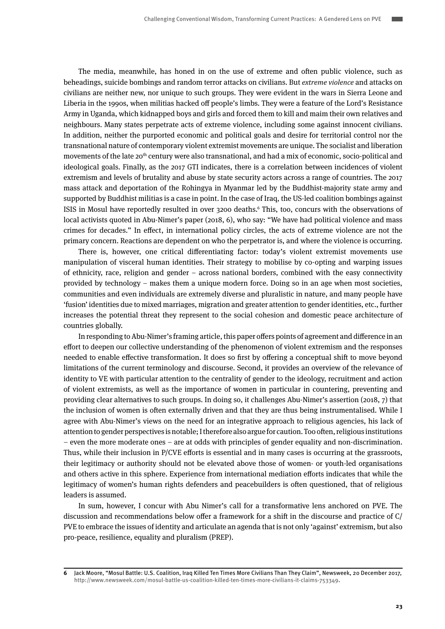The media, meanwhile, has honed in on the use of extreme and often public violence, such as beheadings, suicide bombings and random terror attacks on civilians. But *extreme violence* and attacks on civilians are neither new, nor unique to such groups. They were evident in the wars in Sierra Leone and Liberia in the 1990s, when militias hacked off people's limbs. They were a feature of the Lord's Resistance Army in Uganda, which kidnapped boys and girls and forced them to kill and maim their own relatives and neighbours. Many states perpetrate acts of extreme violence, including some against innocent civilians. In addition, neither the purported economic and political goals and desire for territorial control nor the transnational nature of contemporary violent extremist movements are unique. The socialist and liberation movements of the late 20<sup>th</sup> century were also transnational, and had a mix of economic, socio-political and ideological goals. Finally, as the 2017 GTI indicates, there is a correlation between incidences of violent extremism and levels of brutality and abuse by state security actors across a range of countries. The 2017 mass attack and deportation of the Rohingya in Myanmar led by the Buddhist-majority state army and supported by Buddhist militias is a case in point. In the case of Iraq, the US-led coalition bombings against ISIS in Mosul have reportedly resulted in over 3200 deaths.<sup>6</sup> This, too, concurs with the observations of local activists quoted in Abu-Nimer's paper (2018, 6), who say: "We have had political violence and mass crimes for decades." In effect, in international policy circles, the acts of extreme violence are not the primary concern. Reactions are dependent on who the perpetrator is, and where the violence is occurring.

There is, however, one critical differentiating factor: today's violent extremist movements use manipulation of visceral human identities. Their strategy to mobilise by co-opting and warping issues of ethnicity, race, religion and gender – across national borders, combined with the easy connectivity provided by technology – makes them a unique modern force. Doing so in an age when most societies, communities and even individuals are extremely diverse and pluralistic in nature, and many people have 'fusion' identities due to mixed marriages, migration and greater attention to gender identities, etc., further increases the potential threat they represent to the social cohesion and domestic peace architecture of countries globally.

In responding to Abu-Nimer's framing article, this paper offers points of agreement and difference in an effort to deepen our collective understanding of the phenomenon of violent extremism and the responses needed to enable effective transformation. It does so first by offering a conceptual shift to move beyond limitations of the current terminology and discourse. Second, it provides an overview of the relevance of identity to VE with particular attention to the centrality of gender to the ideology, recruitment and action of violent extremists, as well as the importance of women in particular in countering, preventing and providing clear alternatives to such groups. In doing so, it challenges Abu-Nimer's assertion (2018, 7) that the inclusion of women is often externally driven and that they are thus being instrumentalised. While I agree with Abu-Nimer's views on the need for an integrative approach to religious agencies, his lack of attention to gender perspectives is notable; I therefore also argue for caution. Too often, religious institutions – even the more moderate ones – are at odds with principles of gender equality and non-discrimination. Thus, while their inclusion in P/CVE efforts is essential and in many cases is occurring at the grassroots, their legitimacy or authority should not be elevated above those of women- or youth-led organisations and others active in this sphere. Experience from international mediation efforts indicates that while the legitimacy of women's human rights defenders and peacebuilders is often questioned, that of religious leaders is assumed.

In sum, however, I concur with Abu Nimer's call for a transformative lens anchored on PVE. The discussion and recommendations below offer a framework for a shift in the discourse and practice of C/ PVE to embrace the issues of identity and articulate an agenda that is not only 'against' extremism, but also pro-peace, resilience, equality and pluralism (PREP).

**<sup>6</sup>** Jack Moore, "Mosul Battle: U.S. Coalition, Iraq Killed Ten Times More Civilians Than They Claim", Newsweek, 20 December 2017, [http://www.newsweek.com/mosul-battle-us-coalition-killed-ten-times-more-civilians-it-claims-753349.](http://www.newsweek.com/mosul-battle-us-coalition-killed-ten-times-more-civilians-it-claims-753349)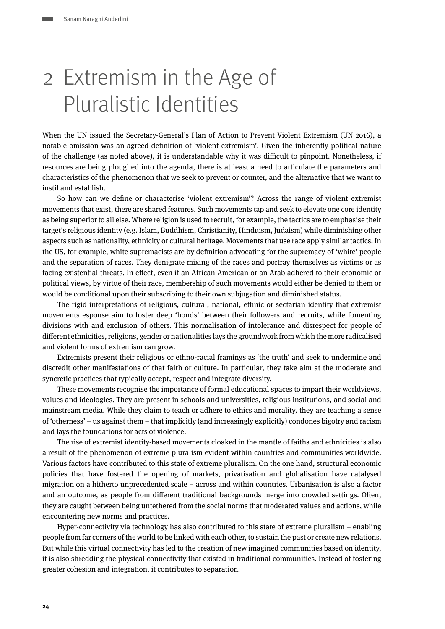# <span id="page-3-0"></span>2 Extremism in the Age of Pluralistic Identities

When the UN issued the Secretary-General's Plan of Action to Prevent Violent Extremism (UN 2016), a notable omission was an agreed definition of 'violent extremism'. Given the inherently political nature of the challenge (as noted above), it is understandable why it was difficult to pinpoint. Nonetheless, if resources are being ploughed into the agenda, there is at least a need to articulate the parameters and characteristics of the phenomenon that we seek to prevent or counter, and the alternative that we want to instil and establish.

So how can we define or characterise 'violent extremism'? Across the range of violent extremist movements that exist, there are shared features. Such movements tap and seek to elevate one core identity as being superior to all else. Where religion is used to recruit, for example, the tactics are to emphasise their target's religious identity (e.g. Islam, Buddhism, Christianity, Hinduism, Judaism) while diminishing other aspects such as nationality, ethnicity or cultural heritage. Movements that use race apply similar tactics. In the US, for example, white supremacists are by definition advocating for the supremacy of 'white' people and the separation of races. They denigrate mixing of the races and portray themselves as victims or as facing existential threats. In effect, even if an African American or an Arab adhered to their economic or political views, by virtue of their race, membership of such movements would either be denied to them or would be conditional upon their subscribing to their own subjugation and diminished status.

The rigid interpretations of religious, cultural, national, ethnic or sectarian identity that extremist movements espouse aim to foster deep 'bonds' between their followers and recruits, while fomenting divisions with and exclusion of others. This normalisation of intolerance and disrespect for people of different ethnicities, religions, gender or nationalities lays the groundwork from which the more radicalised and violent forms of extremism can grow.

Extremists present their religious or ethno-racial framings as 'the truth' and seek to undermine and discredit other manifestations of that faith or culture. In particular, they take aim at the moderate and syncretic practices that typically accept, respect and integrate diversity.

These movements recognise the importance of formal educational spaces to impart their worldviews, values and ideologies. They are present in schools and universities, religious institutions, and social and mainstream media. While they claim to teach or adhere to ethics and morality, they are teaching a sense of 'otherness' – us against them – that implicitly (and increasingly explicitly) condones bigotry and racism and lays the foundations for acts of violence.

The rise of extremist identity-based movements cloaked in the mantle of faiths and ethnicities is also a result of the phenomenon of extreme pluralism evident within countries and communities worldwide. Various factors have contributed to this state of extreme pluralism. On the one hand, structural economic policies that have fostered the opening of markets, privatisation and globalisation have catalysed migration on a hitherto unprecedented scale – across and within countries. Urbanisation is also a factor and an outcome, as people from different traditional backgrounds merge into crowded settings. Often, they are caught between being untethered from the social norms that moderated values and actions, while encountering new norms and practices.

Hyper-connectivity via technology has also contributed to this state of extreme pluralism – enabling people from far corners of the world to be linked with each other, to sustain the past or create new relations. But while this virtual connectivity has led to the creation of new imagined communities based on identity, it is also shredding the physical connectivity that existed in traditional communities. Instead of fostering greater cohesion and integration, it contributes to separation.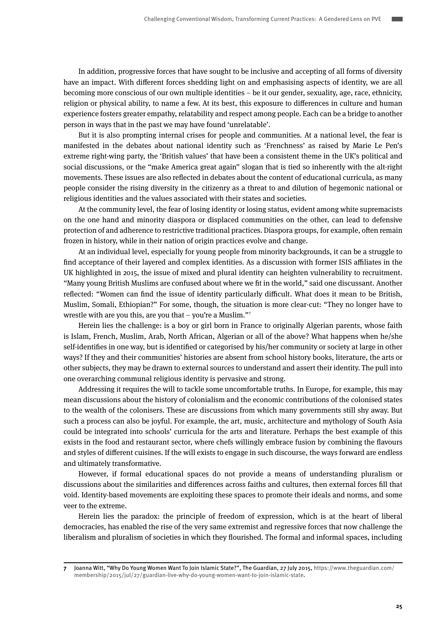In addition, progressive forces that have sought to be inclusive and accepting of all forms of diversity have an impact. With different forces shedding light on and emphasising aspects of identity, we are all becoming more conscious of our own multiple identities – be it our gender, sexuality, age, race, ethnicity, religion or physical ability, to name a few. At its best, this exposure to differences in culture and human experience fosters greater empathy, relatability and respect among people. Each can be a bridge to another person in ways that in the past we may have found 'unrelatable'.

But it is also prompting internal crises for people and communities. At a national level, the fear is manifested in the debates about national identity such as 'Frenchness' as raised by Marie Le Pen's extreme right-wing party, the 'British values' that have been a consistent theme in the UK's political and social discussions, or the "make America great again" slogan that is tied so inherently with the alt-right movements. These issues are also reflected in debates about the content of educational curricula, as many people consider the rising diversity in the citizenry as a threat to and dilution of hegemonic national or religious identities and the values associated with their states and societies.

At the community level, the fear of losing identity or losing status, evident among white supremacists on the one hand and minority diaspora or displaced communities on the other, can lead to defensive protection of and adherence to restrictive traditional practices. Diaspora groups, for example, often remain frozen in history, while in their nation of origin practices evolve and change.

At an individual level, especially for young people from minority backgrounds, it can be a struggle to find acceptance of their layered and complex identities. As a discussion with former ISIS affiliates in the UK highlighted in 2015, the issue of mixed and plural identity can heighten vulnerability to recruitment. "Many young British Muslims are confused about where we fit in the world," said one discussant. Another reflected: "Women can find the issue of identity particularly difficult. What does it mean to be British, Muslim, Somali, Ethiopian?" For some, though, the situation is more clear-cut: "They no longer have to wrestle with are you this, are you that – you're a Muslim."<sup>7</sup>

Herein lies the challenge: is a boy or girl born in France to originally Algerian parents, whose faith is Islam, French, Muslim, Arab, North African, Algerian or all of the above? What happens when he/she self-identifies in one way, but is identified or categorised by his/her community or society at large in other ways? If they and their communities' histories are absent from school history books, literature, the arts or other subjects, they may be drawn to external sources to understand and assert their identity. The pull into one overarching communal religious identity is pervasive and strong.

Addressing it requires the will to tackle some uncomfortable truths. In Europe, for example, this may mean discussions about the history of colonialism and the economic contributions of the colonised states to the wealth of the colonisers. These are discussions from which many governments still shy away. But such a process can also be joyful. For example, the art, music, architecture and mythology of South Asia could be integrated into schools' curricula for the arts and literature. Perhaps the best example of this exists in the food and restaurant sector, where chefs willingly embrace fusion by combining the flavours and styles of different cuisines. If the will exists to engage in such discourse, the ways forward are endless and ultimately transformative.

However, if formal educational spaces do not provide a means of understanding pluralism or discussions about the similarities and differences across faiths and cultures, then external forces fill that void. Identity-based movements are exploiting these spaces to promote their ideals and norms, and some veer to the extreme.

Herein lies the paradox: the principle of freedom of expression, which is at the heart of liberal democracies, has enabled the rise of the very same extremist and regressive forces that now challenge the liberalism and pluralism of societies in which they flourished. The formal and informal spaces, including

**<sup>7</sup>** Joanna Witt, "Why Do Young Women Want To Join Islamic State?", The Guardian, 27 July 2015, [https://www.theguardian.com/](https://www.theguardian.com/membership/2015/jul/27/guardian-live-why-do-young-women-want-to-join-islamic-state) [membership/2015/jul/27/guardian-live-why-do-young-women-want-to-join-islamic-state](https://www.theguardian.com/membership/2015/jul/27/guardian-live-why-do-young-women-want-to-join-islamic-state).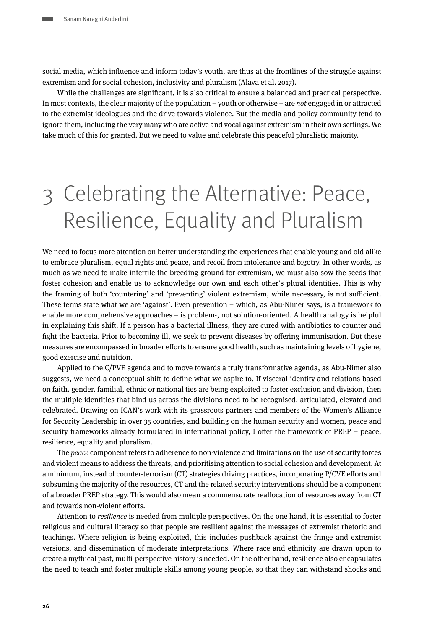<span id="page-5-0"></span>social media, which influence and inform today's youth, are thus at the frontlines of the struggle against extremism and for social cohesion, inclusivity and pluralism (Alava et al. 2017).

While the challenges are significant, it is also critical to ensure a balanced and practical perspective. In most contexts, the clear majority of the population – youth or otherwise – are *not* engaged in or attracted to the extremist ideologues and the drive towards violence. But the media and policy community tend to ignore them, including the very many who are active and vocal against extremism in their own settings. We take much of this for granted. But we need to value and celebrate this peaceful pluralistic majority.

# 3 Celebrating the Alternative: Peace, Resilience, Equality and Pluralism

We need to focus more attention on better understanding the experiences that enable young and old alike to embrace pluralism, equal rights and peace, and recoil from intolerance and bigotry. In other words, as much as we need to make infertile the breeding ground for extremism, we must also sow the seeds that foster cohesion and enable us to acknowledge our own and each other's plural identities. This is why the framing of both 'countering' and 'preventing' violent extremism, while necessary, is not sufficient. These terms state what we are 'against'. Even prevention – which, as Abu-Nimer says, is a framework to enable more comprehensive approaches – is problem-, not solution-oriented. A health analogy is helpful in explaining this shift. If a person has a bacterial illness, they are cured with antibiotics to counter and fight the bacteria. Prior to becoming ill, we seek to prevent diseases by offering immunisation. But these measures are encompassed in broader efforts to ensure good health, such as maintaining levels of hygiene, good exercise and nutrition.

Applied to the C/PVE agenda and to move towards a truly transformative agenda, as Abu-Nimer also suggests, we need a conceptual shift to define what we aspire to. If visceral identity and relations based on faith, gender, familial, ethnic or national ties are being exploited to foster exclusion and division, then the multiple identities that bind us across the divisions need to be recognised, articulated, elevated and celebrated. Drawing on ICAN's work with its grassroots partners and members of the Women's Alliance for Security Leadership in over 35 countries, and building on the human security and women, peace and security frameworks already formulated in international policy, I offer the framework of PREP – peace, resilience, equality and pluralism.

The *peace* component refers to adherence to non-violence and limitations on the use of security forces and violent means to address the threats, and prioritising attention to social cohesion and development. At a minimum, instead of counter-terrorism (CT) strategies driving practices, incorporating P/CVE efforts and subsuming the majority of the resources, CT and the related security interventions should be a component of a broader PREP strategy. This would also mean a commensurate reallocation of resources away from CT and towards non-violent efforts.

Attention to *resilience* is needed from multiple perspectives. On the one hand, it is essential to foster religious and cultural literacy so that people are resilient against the messages of extremist rhetoric and teachings. Where religion is being exploited, this includes pushback against the fringe and extremist versions, and dissemination of moderate interpretations. Where race and ethnicity are drawn upon to create a mythical past, multi-perspective history is needed. On the other hand, resilience also encapsulates the need to teach and foster multiple skills among young people, so that they can withstand shocks and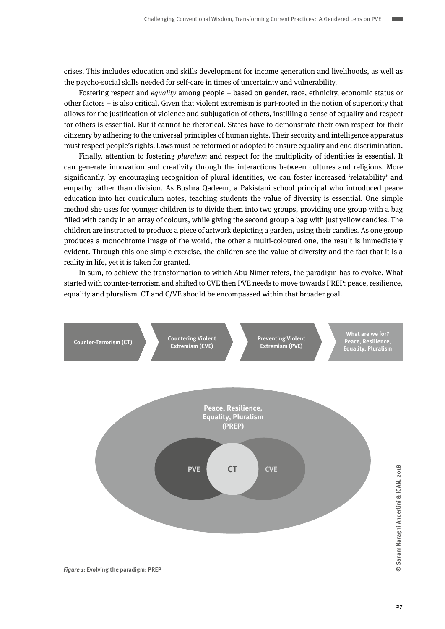crises. This includes education and skills development for income generation and livelihoods, as well as the psycho-social skills needed for self-care in times of uncertainty and vulnerability.

Fostering respect and *equality* among people – based on gender, race, ethnicity, economic status or other factors – is also critical. Given that violent extremism is part-rooted in the notion of superiority that allows for the justification of violence and subjugation of others, instilling a sense of equality and respect for others is essential. But it cannot be rhetorical. States have to demonstrate their own respect for their citizenry by adhering to the universal principles of human rights. Their security and intelligence apparatus must respect people's rights. Laws must be reformed or adopted to ensure equality and end discrimination.

Finally, attention to fostering *pluralism* and respect for the multiplicity of identities is essential. It can generate innovation and creativity through the interactions between cultures and religions. More significantly, by encouraging recognition of plural identities, we can foster increased 'relatability' and empathy rather than division. As Bushra Qadeem, a Pakistani school principal who introduced peace education into her curriculum notes, teaching students the value of diversity is essential. One simple method she uses for younger children is to divide them into two groups, providing one group with a bag filled with candy in an array of colours, while giving the second group a bag with just yellow candies. The children are instructed to produce a piece of artwork depicting a garden, using their candies. As one group produces a monochrome image of the world, the other a multi-coloured one, the result is immediately evident. Through this one simple exercise, the children see the value of diversity and the fact that it is a reality in life, yet it is taken for granted.

In sum, to achieve the transformation to which Abu-Nimer refers, the paradigm has to evolve. What started with counter-terrorism and shifted to CVE then PVE needs to move towards PREP: peace, resilience, equality and pluralism. CT and C/VE should be encompassed within that broader goal.

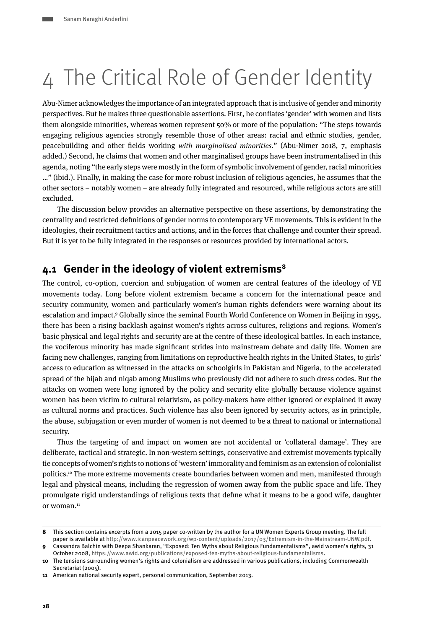# <span id="page-7-0"></span>4 The Critical Role of Gender Identity

Abu-Nimer acknowledges the importance of an integrated approach that is inclusive of gender and minority perspectives. But he makes three questionable assertions. First, he conflates 'gender' with women and lists them alongside minorities, whereas women represent 50% or more of the population: "The steps towards engaging religious agencies strongly resemble those of other areas: racial and ethnic studies, gender, peacebuilding and other fields working *with marginalised minorities*." (Abu-Nimer 2018, 7, emphasis added.) Second, he claims that women and other marginalised groups have been instrumentalised in this agenda, noting "the early steps were mostly in the form of symbolic involvement of gender, racial minorities …" (ibid.). Finally, in making the case for more robust inclusion of religious agencies, he assumes that the other sectors – notably women – are already fully integrated and resourced, while religious actors are still excluded.

The discussion below provides an alternative perspective on these assertions, by demonstrating the centrality and restricted definitions of gender norms to contemporary VE movements. This is evident in the ideologies, their recruitment tactics and actions, and in the forces that challenge and counter their spread. But it is yet to be fully integrated in the responses or resources provided by international actors.

### **4.1 Gender in the ideology of violent extremisms8**

The control, co-option, coercion and subjugation of women are central features of the ideology of VE movements today. Long before violent extremism became a concern for the international peace and security community, women and particularly women's human rights defenders were warning about its escalation and impact.9 Globally since the seminal Fourth World Conference on Women in Beijing in 1995, there has been a rising backlash against women's rights across cultures, religions and regions. Women's basic physical and legal rights and security are at the centre of these ideological battles. In each instance, the vociferous minority has made significant strides into mainstream debate and daily life. Women are facing new challenges, ranging from limitations on reproductive health rights in the United States, to girls' access to education as witnessed in the attacks on schoolgirls in Pakistan and Nigeria, to the accelerated spread of the hijab and niqab among Muslims who previously did not adhere to such dress codes. But the attacks on women were long ignored by the policy and security elite globally because violence against women has been victim to cultural relativism, as policy-makers have either ignored or explained it away as cultural norms and practices. Such violence has also been ignored by security actors, as in principle, the abuse, subjugation or even murder of women is not deemed to be a threat to national or international security.

Thus the targeting of and impact on women are not accidental or 'collateral damage'. They are deliberate, tactical and strategic. In non-western settings, conservative and extremist movements typically tie concepts of women's rights to notions of 'western' immorality and feminism as an extension of colonialist politics.10 The more extreme movements create boundaries between women and men, manifested through legal and physical means, including the regression of women away from the public space and life. They promulgate rigid understandings of religious texts that define what it means to be a good wife, daughter or woman.11

**<sup>8</sup>** This section contains excerpts from a 2015 paper co-written by the author for a UN Women Experts Group meeting. The full paper is available at<http://www.icanpeacework.org/wp-content/uploads/2017/03/Extremism-in-the-Mainstream-UNW.pdf>.

**<sup>9</sup>** Cassandra Balchin with Deepa Shankaran, "Exposed: Ten Myths about Religious Fundamentalisms", awid women's rights, 31 October 2008, [https://www.awid.org/publications/exposed-ten-myths-about-religious-fundamentalisms.](https://www.awid.org/publications/exposed-ten-myths-about-religious-fundamentalisms)

**<sup>10</sup>** The tensions surrounding women's rights and colonialism are addressed in various publications, including Commonwealth Secretariat (2005).

**<sup>11</sup>** American national security expert, personal communication, September 2013.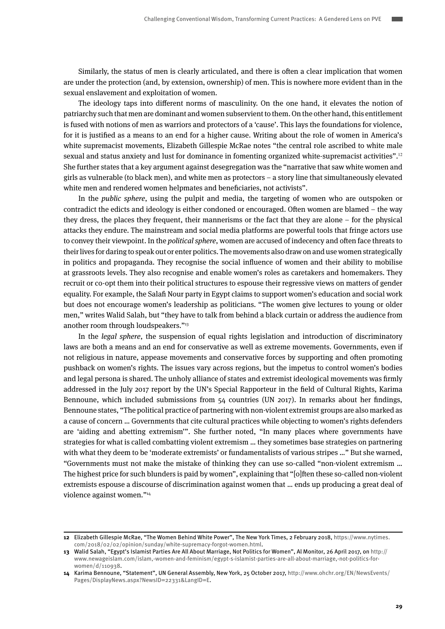Similarly, the status of men is clearly articulated, and there is often a clear implication that women are under the protection (and, by extension, ownership) of men. This is nowhere more evident than in the sexual enslavement and exploitation of women.

The ideology taps into different norms of masculinity. On the one hand, it elevates the notion of patriarchy such that men are dominant and women subservient to them. On the other hand, this entitlement is fused with notions of men as warriors and protectors of a 'cause'. This lays the foundations for violence, for it is justified as a means to an end for a higher cause. Writing about the role of women in America's white supremacist movements, Elizabeth Gillespie McRae notes "the central role ascribed to white male sexual and status anxiety and lust for dominance in fomenting organized white-supremacist activities".<sup>12</sup> She further states that a key argument against desegregation was the "narrative that saw white women and girls as vulnerable (to black men), and white men as protectors – a story line that simultaneously elevated white men and rendered women helpmates and beneficiaries, not activists".

In the public sphere, using the pulpit and media, the targeting of women who are outspoken or contradict the edicts and ideology is either condoned or encouraged. Often women are blamed – the way they dress, the places they frequent, their mannerisms or the fact that they are alone – for the physical attacks they endure. The mainstream and social media platforms are powerful tools that fringe actors use to convey their viewpoint. In the *political sphere*, women are accused of indecency and often face threats to their lives for daring to speak out or enter politics. The movements also draw on and use women strategically in politics and propaganda. They recognise the social influence of women and their ability to mobilise at grassroots levels. They also recognise and enable women's roles as caretakers and homemakers. They recruit or co-opt them into their political structures to espouse their regressive views on matters of gender equality. For example, the Salafi Nour party in Egypt claims to support women's education and social work but does not encourage women's leadership as politicians. "The women give lectures to young or older men," writes Walid Salah, but "they have to talk from behind a black curtain or address the audience from another room through loudspeakers."<sup>13</sup>

In the legal sphere, the suspension of equal rights legislation and introduction of discriminatory laws are both a means and an end for conservative as well as extreme movements. Governments, even if not religious in nature, appease movements and conservative forces by supporting and often promoting pushback on women's rights. The issues vary across regions, but the impetus to control women's bodies and legal persona is shared. The unholy alliance of states and extremist ideological movements was firmly addressed in the July 2017 report by the UN's Special Rapporteur in the field of Cultural Rights, Karima Bennoune, which included submissions from 54 countries (UN 2017). In remarks about her findings, Bennoune states, "The political practice of partnering with non-violent extremist groups are also marked as a cause of concern … Governments that cite cultural practices while objecting to women's rights defenders are 'aiding and abetting extremism'". She further noted, "In many places where governments have strategies for what is called combatting violent extremism … they sometimes base strategies on partnering with what they deem to be 'moderate extremists' or fundamentalists of various stripes ..." But she warned, "Governments must not make the mistake of thinking they can use so-called "non-violent extremism … The highest price for such blunders is paid by women", explaining that "[o]ften these so-called non-violent extremists espouse a discourse of discrimination against women that … ends up producing a great deal of violence against women."14

**<sup>12</sup>** Elizabeth Gillespie McRae, "The Women Behind White Power", The New York Times, 2 February 2018, [https://www.nytimes.](https://www.nytimes.com/2018/02/02/opinion/sunday/white-supremacy-forgot-women.html) [com/2018/02/02/opinion/sunday/white-supremacy-forgot-women.html.](https://www.nytimes.com/2018/02/02/opinion/sunday/white-supremacy-forgot-women.html)

**<sup>13</sup>** Walid Salah, "Egypt's Islamist Parties Are All About Marriage, Not Politics for Women", Al Monitor, 26 April 2017, on [http://](http://www.newageislam.com/islam,-women-and-feminism/egypt-s-islamist-parties-are-all-about-marriage,-not-politics-for-women/d/110938) [www.newageislam.com/islam,-women-and-feminism/egypt-s-islamist-parties-are-all-about-marriage,-not-politics-for](http://www.newageislam.com/islam,-women-and-feminism/egypt-s-islamist-parties-are-all-about-marriage,-not-politics-for-women/d/110938)[women/d/110938.](http://www.newageislam.com/islam,-women-and-feminism/egypt-s-islamist-parties-are-all-about-marriage,-not-politics-for-women/d/110938)

**<sup>14</sup>** Karima Bennoune, "Statement", UN General Assembly, New York, 25 October 2017, [http://www.ohchr.org/EN/NewsEvents/](http://www.ohchr.org/EN/NewsEvents/Pages/DisplayNews.aspx?NewsID=22331&LangID=E) [Pages/DisplayNews.aspx?NewsID=22331&LangID=E](http://www.ohchr.org/EN/NewsEvents/Pages/DisplayNews.aspx?NewsID=22331&LangID=E).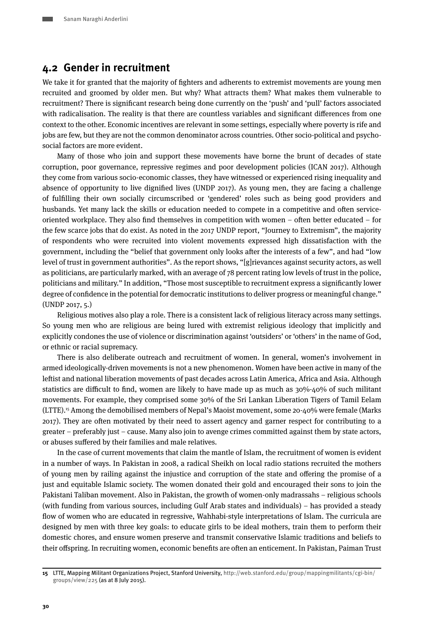### <span id="page-9-0"></span>**4.2 Gender in recruitment**

We take it for granted that the majority of fighters and adherents to extremist movements are young men recruited and groomed by older men. But why? What attracts them? What makes them vulnerable to recruitment? There is significant research being done currently on the 'push' and 'pull' factors associated with radicalisation. The reality is that there are countless variables and significant differences from one context to the other. Economic incentives are relevant in some settings, especially where poverty is rife and jobs are few, but they are not the common denominator across countries. Other socio-political and psychosocial factors are more evident.

Many of those who join and support these movements have borne the brunt of decades of state corruption, poor governance, repressive regimes and poor development policies (ICAN 2017). Although they come from various socio-economic classes, they have witnessed or experienced rising inequality and absence of opportunity to live dignified lives (UNDP 2017). As young men, they are facing a challenge of fulfilling their own socially circumscribed or 'gendered' roles such as being good providers and husbands. Yet many lack the skills or education needed to compete in a competitive and often serviceoriented workplace. They also find themselves in competition with women – often better educated – for the few scarce jobs that do exist. As noted in the 2017 UNDP report, "Journey to Extremism", the majority of respondents who were recruited into violent movements expressed high dissatisfaction with the government, including the "belief that government only looks after the interests of a few", and had "low level of trust in government authorities". As the report shows, "[g]rievances against security actors, as well as politicians, are particularly marked, with an average of 78 percent rating low levels of trust in the police, politicians and military." In addition, "Those most susceptible to recruitment express a significantly lower degree of confidence in the potential for democratic institutions to deliver progress or meaningful change." (UNDP 2017, 5.)

Religious motives also play a role. There is a consistent lack of religious literacy across many settings. So young men who are religious are being lured with extremist religious ideology that implicitly and explicitly condones the use of violence or discrimination against 'outsiders' or 'others' in the name of God, or ethnic or racial supremacy.

There is also deliberate outreach and recruitment of women. In general, women's involvement in armed ideologically-driven movements is not a new phenomenon. Women have been active in many of the leftist and national liberation movements of past decades across Latin America, Africa and Asia. Although statistics are difficult to find, women are likely to have made up as much as  $30\% -40\%$  of such militant movements. For example, they comprised some 30% of the Sri Lankan Liberation Tigers of Tamil Eelam (LTTE).15 Among the demobilised members of Nepal's Maoist movement, some 20-40% were female (Marks 2017). They are often motivated by their need to assert agency and garner respect for contributing to a greater – preferably just – cause. Many also join to avenge crimes committed against them by state actors, or abuses suffered by their families and male relatives.

In the case of current movements that claim the mantle of Islam, the recruitment of women is evident in a number of ways. In Pakistan in 2008, a radical Sheikh on local radio stations recruited the mothers of young men by railing against the injustice and corruption of the state and offering the promise of a just and equitable Islamic society. The women donated their gold and encouraged their sons to join the Pakistani Taliban movement. Also in Pakistan, the growth of women-only madrassahs – religious schools (with funding from various sources, including Gulf Arab states and individuals) – has provided a steady flow of women who are educated in regressive, Wahhabi-style interpretations of Islam. The curricula are designed by men with three key goals: to educate girls to be ideal mothers, train them to perform their domestic chores, and ensure women preserve and transmit conservative Islamic traditions and beliefs to their offspring. In recruiting women, economic benefits are often an enticement. In Pakistan, Paiman Trust

**<sup>15</sup>** LTTE, Mapping Militant Organizations Project, Stanford University, [http://web.stanford.edu/group/mappingmilitants/cgi-bin/](http://web.stanford.edu/group/mappingmilitants/cgi-bin/groups/view/225) [groups/view/225](http://web.stanford.edu/group/mappingmilitants/cgi-bin/groups/view/225) (as at 8 July 2015).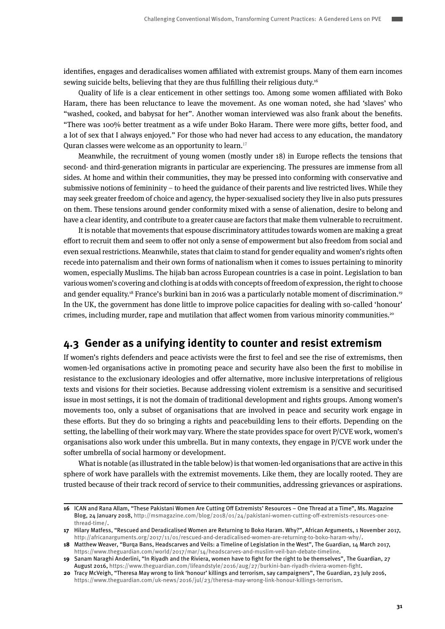<span id="page-10-0"></span>identifies, engages and deradicalises women affiliated with extremist groups. Many of them earn incomes sewing suicide belts, believing that they are thus fulfilling their religious duty.<sup>16</sup>

Quality of life is a clear enticement in other settings too. Among some women affiliated with Boko Haram, there has been reluctance to leave the movement. As one woman noted, she had 'slaves' who "washed, cooked, and babysat for her". Another woman interviewed was also frank about the benefits. "There was 100% better treatment as a wife under Boko Haram. There were more gifts, better food, and a lot of sex that I always enjoyed." For those who had never had access to any education, the mandatory Quran classes were welcome as an opportunity to learn.<sup>17</sup>

Meanwhile, the recruitment of young women (mostly under 18) in Europe reflects the tensions that second- and third-generation migrants in particular are experiencing. The pressures are immense from all sides. At home and within their communities, they may be pressed into conforming with conservative and submissive notions of femininity – to heed the guidance of their parents and live restricted lives. While they may seek greater freedom of choice and agency, the hyper-sexualised society they live in also puts pressures on them. These tensions around gender conformity mixed with a sense of alienation, desire to belong and have a clear identity, and contribute to a greater cause are factors that make them vulnerable to recruitment.

It is notable that movements that espouse discriminatory attitudes towards women are making a great effort to recruit them and seem to offer not only a sense of empowerment but also freedom from social and even sexual restrictions. Meanwhile, states that claim to stand for gender equality and women's rights often recede into paternalism and their own forms of nationalism when it comes to issues pertaining to minority women, especially Muslims. The hijab ban across European countries is a case in point. Legislation to ban various women's covering and clothing is at odds with concepts of freedom of expression, the right to choose and gender equality.18 France's burkini ban in 2016 was a particularly notable moment of discrimination.19 In the UK, the government has done little to improve police capacities for dealing with so-called 'honour' crimes, including murder, rape and mutilation that affect women from various minority communities.<sup>20</sup>

### **4.3 Gender as a unifying identity to counter and resist extremism**

If women's rights defenders and peace activists were the first to feel and see the rise of extremisms, then women-led organisations active in promoting peace and security have also been the first to mobilise in resistance to the exclusionary ideologies and offer alternative, more inclusive interpretations of religious texts and visions for their societies. Because addressing violent extremism is a sensitive and securitised issue in most settings, it is not the domain of traditional development and rights groups. Among women's movements too, only a subset of organisations that are involved in peace and security work engage in these efforts. But they do so bringing a rights and peacebuilding lens to their efforts. Depending on the setting, the labelling of their work may vary. Where the state provides space for overt P/CVE work, women's organisations also work under this umbrella. But in many contexts, they engage in P/CVE work under the softer umbrella of social harmony or development.

What is notable (as illustrated in the table below) is that women-led organisations that are active in this sphere of work have parallels with the extremist movements. Like them, they are locally rooted. They are trusted because of their track record of service to their communities, addressing grievances or aspirations.

**<sup>16</sup>** ICAN and Rana Allam, "These Pakistani Women Are Cutting Off Extremists' Resources – One Thread at a Time", Ms. Magazine Blog, 24 January 2018, [http://msmagazine.com/blog/2018/01/24/pakistani-women-cutting-off-extremists-resources-one](http://msmagazine.com/blog/2018/01/24/pakistani-women-cutting-off-extremists-resources-one-thread-time/)[thread-time/](http://msmagazine.com/blog/2018/01/24/pakistani-women-cutting-off-extremists-resources-one-thread-time/).

**<sup>17</sup>** Hilary Matfess, "Rescued and Deradicalised Women are Returning to Boko Haram. Why?", African Arguments, 1 November 2017, [http://africanarguments.org/2017/11/01/rescued-and-deradicalised-women-are-returning-to-boko-haram-why/.](http://africanarguments.org/2017/11/01/rescued-and-deradicalised-women-are-returning-to-boko-haram-why/)

**<sup>18</sup>** Matthew Weaver, "Burqa Bans, Headscarves and Veils: a Timeline of Legislation in the West", The Guardian, 14 March 2017, [https://www.theguardian.com/world/2017/mar/14/headscarves-and-muslim-veil-ban-debate-timeline.](https://www.theguardian.com/world/2017/mar/14/headscarves-and-muslim-veil-ban-debate-timeline)

**<sup>19</sup>** Sanam Naraghi Anderlini, "In Riyadh and the Riviera, women have to fight for the right to be themselves", The Guardian, 27 August 2016, [https://www.theguardian.com/lifeandstyle/2016/aug/27/burkini-ban-riyadh-riviera-women-fight.](https://www.theguardian.com/lifeandstyle/2016/aug/27/burkini-ban-riyadh-riviera-women-fight)

**<sup>20</sup>** Tracy McVeigh, "Theresa May wrong to link 'honour' killings and terrorism, say campaigners", The Guardian, 23 July 2016, <https://www.theguardian.com/uk-news/2016/jul/23/theresa-may-wrong-link-honour-killings-terrorism>.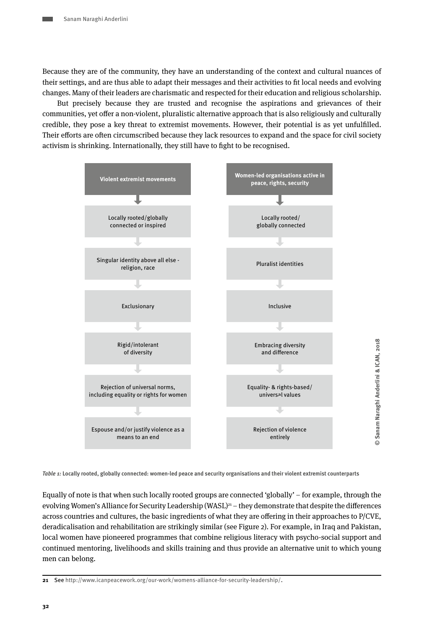Because they are of the community, they have an understanding of the context and cultural nuances of their settings, and are thus able to adapt their messages and their activities to fit local needs and evolving changes. Many of their leaders are charismatic and respected for their education and religious scholarship.

But precisely because they are trusted and recognise the aspirations and grievances of their communities, yet offer a non-violent, pluralistic alternative approach that is also religiously and culturally credible, they pose a key threat to extremist movements. However, their potential is as yet unfulfilled. Their efforts are often circumscribed because they lack resources to expand and the space for civil society activism is shrinking. Internationally, they still have to fight to be recognised.



**© Sanam Naraghi Anderlini & ICAN, 2018**

 $\odot$ 

Sanam Naraghi Anderlini & ICAN, 2018

**Table 1: Locally rooted, globally connected: women-led peace and security organisations and their violent extremist counterparts**

Equally of note is that when such locally rooted groups are connected 'globally' – for example, through the evolving Women's Alliance for Security Leadership (WASL)<sup>21</sup> – they demonstrate that despite the differences across countries and cultures, the basic ingredients of what they are offering in their approaches to P/CVE, deradicalisation and rehabilitation are strikingly similar (see Figure 2). For example, in Iraq and Pakistan, local women have pioneered programmes that combine religious literacy with psycho-social support and continued mentoring, livelihoods and skills training and thus provide an alternative unit to which young men can belong.

**21** See [http://www.icanpeacework.org/our-work/womens-alliance-for-security-leadership/.](http://www.icanpeacework.org/our-work/womens-alliance-for-security-leadership/)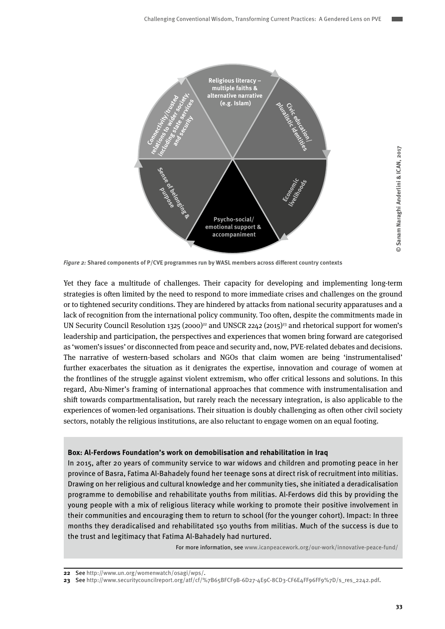

**Figure 2: Shared components of P/CVE programmes run by WASL members across different country contexts** 

Yet they face a multitude of challenges. Their capacity for developing and implementing long-term strategies is often limited by the need to respond to more immediate crises and challenges on the ground or to tightened security conditions. They are hindered by attacks from national security apparatuses and a lack of recognition from the international policy community. Too often, despite the commitments made in UN Security Council Resolution 1325 (2000)<sup>22</sup> and UNSCR 2242 (2015)<sup>23</sup> and rhetorical support for women's leadership and participation, the perspectives and experiences that women bring forward are categorised as 'women's issues' or disconnected from peace and security and, now, PVE-related debates and decisions. The narrative of western-based scholars and NGOs that claim women are being 'instrumentalised' further exacerbates the situation as it denigrates the expertise, innovation and courage of women at the frontlines of the struggle against violent extremism, who offer critical lessons and solutions. In this regard, Abu-Nimer's framing of international approaches that commence with instrumentalisation and shift towards compartmentalisation, but rarely reach the necessary integration, is also applicable to the experiences of women-led organisations. Their situation is doubly challenging as often other civil society sectors, notably the religious institutions, are also reluctant to engage women on an equal footing.

#### **Box: Al-Ferdows Foundation's work on demobilisation and rehabilitation in Iraq**

In 2015, after 20 years of community service to war widows and children and promoting peace in her province of Basra, Fatima Al-Bahadely found her teenage sons at direct risk of recruitment into militias. Drawing on her religious and cultural knowledge and her community ties, she initiated a deradicalisation programme to demobilise and rehabilitate youths from militias. Al-Ferdows did this by providing the young people with a mix of religious literacy while working to promote their positive involvement in their communities and encouraging them to return to school (for the younger cohort). Impact: In three months they deradicalised and rehabilitated 150 youths from militias. Much of the success is due to the trust and legitimacy that Fatima Al-Bahadely had nurtured.

For more information, see [www.icanpeacework.org/our-work/innovative-peace-fund/](http://www.icanpeacework.org/our-work/innovative-peace-fund/)

Sanam Naraghi Anderlini & ICAN, 2017 **© Sanam Naraghi Anderlini & ICAN, 2017**

**<sup>22</sup>** See [http://www.un.org/womenwatch/osagi/wps/.](http://www.un.org/womenwatch/osagi/wps/)

**<sup>23</sup>** See [http://www.securitycouncilreport.org/atf/cf/%7B65BFCF9B-6D27-4E9C-8CD3-CF6E4FF96FF9%7D/s\\_res\\_2242.pdf](http://www.securitycouncilreport.org/atf/cf/%7B65BFCF9B-6D27-4E9C-8CD3-CF6E4FF96FF9%7D/s_res_2242.pdf).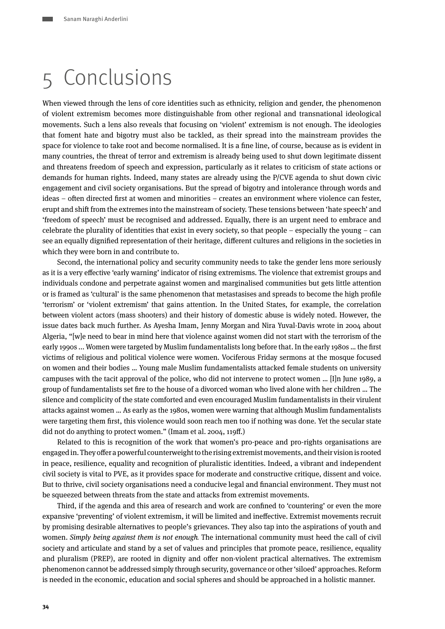## <span id="page-13-0"></span>5 Conclusions

When viewed through the lens of core identities such as ethnicity, religion and gender, the phenomenon of violent extremism becomes more distinguishable from other regional and transnational ideological movements. Such a lens also reveals that focusing on 'violent' extremism is not enough. The ideologies that foment hate and bigotry must also be tackled, as their spread into the mainstream provides the space for violence to take root and become normalised. It is a fine line, of course, because as is evident in many countries, the threat of terror and extremism is already being used to shut down legitimate dissent and threatens freedom of speech and expression, particularly as it relates to criticism of state actions or demands for human rights. Indeed, many states are already using the P/CVE agenda to shut down civic engagement and civil society organisations. But the spread of bigotry and intolerance through words and ideas – often directed first at women and minorities – creates an environment where violence can fester, erupt and shift from the extremes into the mainstream of society. These tensions between 'hate speech' and 'freedom of speech' must be recognised and addressed. Equally, there is an urgent need to embrace and celebrate the plurality of identities that exist in every society, so that people – especially the young – can see an equally dignified representation of their heritage, different cultures and religions in the societies in which they were born in and contribute to.

Second, the international policy and security community needs to take the gender lens more seriously as it is a very effective 'early warning' indicator of rising extremisms. The violence that extremist groups and individuals condone and perpetrate against women and marginalised communities but gets little attention or is framed as 'cultural' is the same phenomenon that metastasises and spreads to become the high profile 'terrorism' or 'violent extremism' that gains attention. In the United States, for example, the correlation between violent actors (mass shooters) and their history of domestic abuse is widely noted. However, the issue dates back much further. As Ayesha Imam, Jenny Morgan and Nira Yuval-Davis wrote in 2004 about Algeria, "[w]e need to bear in mind here that violence against women did not start with the terrorism of the early 1990s ... Women were targeted by Muslim fundamentalists long before that. In the early 1980s … the first victims of religious and political violence were women. Vociferous Friday sermons at the mosque focused on women and their bodies … Young male Muslim fundamentalists attacked female students on university campuses with the tacit approval of the police, who did not intervene to protect women … [I]n June 1989, a group of fundamentalists set fire to the house of a divorced woman who lived alone with her children … The silence and complicity of the state comforted and even encouraged Muslim fundamentalists in their virulent attacks against women … As early as the 1980s, women were warning that although Muslim fundamentalists were targeting them first, this violence would soon reach men too if nothing was done. Yet the secular state did not do anything to protect women." (Imam et al. 2004, 119ff.)

Related to this is recognition of the work that women's pro-peace and pro-rights organisations are engaged in. They offer a powerful counterweight to the rising extremist movements, and their vision is rooted in peace, resilience, equality and recognition of pluralistic identities. Indeed, a vibrant and independent civil society is vital to PVE, as it provides space for moderate and constructive critique, dissent and voice. But to thrive, civil society organisations need a conducive legal and financial environment. They must not be squeezed between threats from the state and attacks from extremist movements.

Third, if the agenda and this area of research and work are confined to 'countering' or even the more expansive 'preventing' of violent extremism, it will be limited and ineffective. Extremist movements recruit by promising desirable alternatives to people's grievances. They also tap into the aspirations of youth and women. Simply being against them is not enough*.* The international community must heed the call of civil society and articulate and stand by a set of values and principles that promote peace, resilience, equality and pluralism (PREP), are rooted in dignity and offer non-violent practical alternatives. The extremism phenomenon cannot be addressed simply through security, governance or other 'siloed' approaches. Reform is needed in the economic, education and social spheres and should be approached in a holistic manner.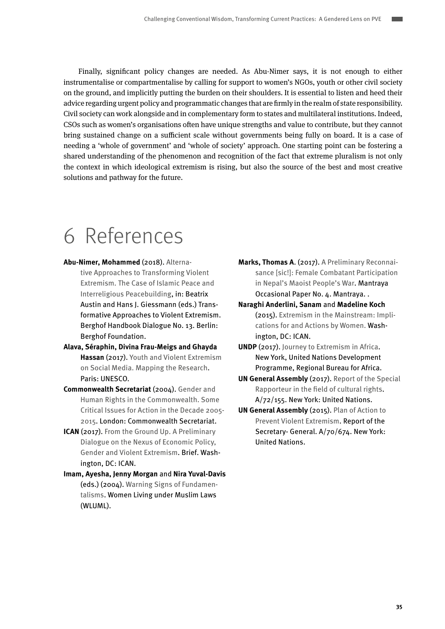<span id="page-14-0"></span>Finally, significant policy changes are needed. As Abu-Nimer says, it is not enough to either instrumentalise or compartmentalise by calling for support to women's NGOs, youth or other civil society on the ground, and implicitly putting the burden on their shoulders. It is essential to listen and heed their advice regarding urgent policy and programmatic changes that are firmly in the realm of state responsibility. Civil society can work alongside and in complementary form to states and multilateral institutions. Indeed, CSOs such as women's organisations often have unique strengths and value to contribute, but they cannot bring sustained change on a sufficient scale without governments being fully on board. It is a case of needing a 'whole of government' and 'whole of society' approach. One starting point can be fostering a shared understanding of the phenomenon and recognition of the fact that extreme pluralism is not only the context in which ideological extremism is rising, but also the source of the best and most creative solutions and pathway for the future.

## 6 References

- **Abu-Nimer, Mohammed** (2018). [Alterna](https://www.berghof-foundation.org/fileadmin/redaktion/Publications/Handbook/Dialogue_Chapters/dialogue13_Abu-Nimer_lead.pdf)[tive Approaches to Transforming Violent](https://www.berghof-foundation.org/fileadmin/redaktion/Publications/Handbook/Dialogue_Chapters/dialogue13_Abu-Nimer_lead.pdf)  [Extremism. The Case of Islamic Peace and](https://www.berghof-foundation.org/fileadmin/redaktion/Publications/Handbook/Dialogue_Chapters/dialogue13_Abu-Nimer_lead.pdf)  [Interreligious Peacebuilding](https://www.berghof-foundation.org/fileadmin/redaktion/Publications/Handbook/Dialogue_Chapters/dialogue13_Abu-Nimer_lead.pdf), in: Beatrix Austin and Hans J. Giessmann (eds.) Transformative Approaches to Violent Extremism. Berghof Handbook Dialogue No. 13. Berlin: Berghof Foundation.
- **Alava, Séraphin, Divina Frau-Meigs and Ghayda Hassan** (2017). [Youth and Violent Extremism](http://unesdoc.unesco.org/images/0026/002603/260382e.pdf)  [on Social Media. Mapping the Research.](http://unesdoc.unesco.org/images/0026/002603/260382e.pdf) Paris: UNESCO.
- **Commonwealth Secretariat** (2004). [Gender and](https://books.google.com/books%3Fid%3D8zu_WZMc1c0C%26printsec%3Dfrontcover%23v%3Donepage%26q%26f%3Dfalse)  [Human Rights in the Commonwealth. Some](https://books.google.com/books%3Fid%3D8zu_WZMc1c0C%26printsec%3Dfrontcover%23v%3Donepage%26q%26f%3Dfalse)  [Critical Issues for Action in the Decade 2005-](https://books.google.com/books%3Fid%3D8zu_WZMc1c0C%26printsec%3Dfrontcover%23v%3Donepage%26q%26f%3Dfalse) [2015](https://books.google.com/books%3Fid%3D8zu_WZMc1c0C%26printsec%3Dfrontcover%23v%3Donepage%26q%26f%3Dfalse). London: Commonwealth Secretariat.
- **ICAN** (2017). [From the Ground Up. A Preliminary](http://www.icanpeacework.org/wp-content/uploads/2018/02/PVE-and-Economics-Brief-2017.pdf)  [Dialogue on the Nexus of Economic Policy,](http://www.icanpeacework.org/wp-content/uploads/2018/02/PVE-and-Economics-Brief-2017.pdf)  [Gender and Violent Extremism.](http://www.icanpeacework.org/wp-content/uploads/2018/02/PVE-and-Economics-Brief-2017.pdf) Brief. Washington, DC: ICAN.
- **Imam, Ayesha, Jenny Morgan** and **Nira Yuval-Davis** (eds.) (2004). [Warning Signs of Fundamen](http://www.wluml.org/sites/wluml.org/files/WLUML-WSF-1h-final.pdf)[talisms](http://www.wluml.org/sites/wluml.org/files/WLUML-WSF-1h-final.pdf). Women Living under Muslim Laws (WLUML).
- **Marks, Thomas A**. (2017). [A Preliminary Reconnai](http://mantraya.org/occasional-paper-female-combatant-participation-in-nepals-maoist-peoples-war/)[sance \[sic!\]: Female Combatant Participation](http://mantraya.org/occasional-paper-female-combatant-participation-in-nepals-maoist-peoples-war/)  [in Nepal's Maoist People's War](http://mantraya.org/occasional-paper-female-combatant-participation-in-nepals-maoist-peoples-war/). Mantraya Occasional Paper No. 4. Mantraya. .
- **Naraghi Anderlini, Sanam** and **Madeline Koch** (2015). [Extremism in the Mainstream: Impli](http://www.icanpeacework.org/wp-content/uploads/2017/03/Extremism-in-the-Mainstream-UNW.pdf%0D)[cations for and Actions by Women.](http://www.icanpeacework.org/wp-content/uploads/2017/03/Extremism-in-the-Mainstream-UNW.pdf%0D) Washington, DC: ICAN.
- **UNDP** (2017). [Journey to Extremism in Africa](http://journey-to-extremism.undp.org/content/downloads/UNDP-JourneyToExtremism-report-2017-english.pdf%0D). New York, United Nations Development Programme, Regional Bureau for Africa.
- **UN General Assembly** (2017). [Report of the Special](http://undocs.org/en/A/72/155)  [Rapporteur in the field of cultural rights.](http://undocs.org/en/A/72/155) A/72/155. New York: United Nations.
- **UN General Assembly** (2015). [Plan of Action to](http://www.un.org/en/ga/search/view_doc.asp%3Fsymbol%3DA/70/674)  [Prevent Violent Extremism](http://www.un.org/en/ga/search/view_doc.asp%3Fsymbol%3DA/70/674). Report of the Secretary- General. A/70/674. New York: United Nations.